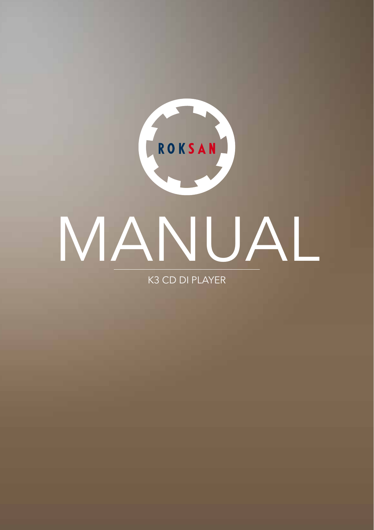

K3 CD DI PLAYER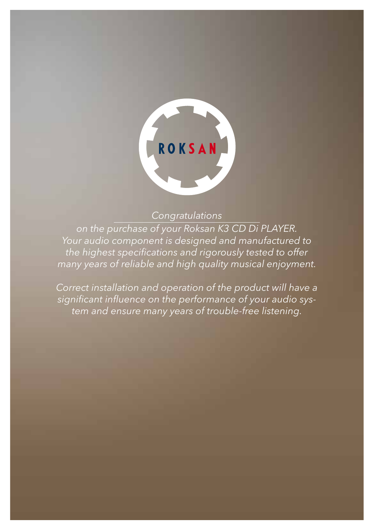

### *Congratulations*

*on the purchase of your Roksan K3 CD Di PLAYER. Your audio component is designed and manufactured to the highest specifications and rigorously tested to offer many years of reliable and high quality musical enjoyment.*

*Correct installation and operation of the product will have a significant influence on the performance of your audio system and ensure many years of trouble-free listening.*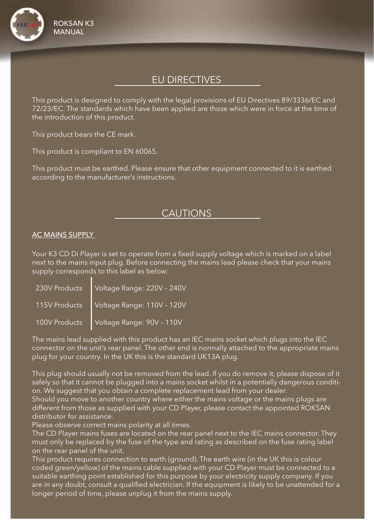

## EU DIRECTIVES

This product is designed to comply with the legal provisions of EU Directives 89/3336/EC and 72/23/EC. The standards which have been applied are those which were in force at the time of the introduction of this product.

This product bears the CE mark.

This product is compliant to EN 60065.

This product must be earthed. Please ensure that other equipment connected to it is earthed according to the manufacturer's instructions.

### **CAUTIONS**

#### AC MAINS SUPPLY

Your K3 CD Di Player is set to operate from a fixed supply voltage which is marked on a label next to the mains input plug. Before connecting the mains lead please check that your mains supply corresponds to this label as below:

| 230V Products | Voltage Range: 220V - 240V |
|---------------|----------------------------|
| 115V Products | Voltage Range: 110V - 120V |
| 100V Products | Voltage Range: 90V - 110V  |

The mains lead supplied with this product has an IEC mains socket which plugs into the IEC connector on the unit's rear panel. The other end is normally attached to the appropriate mains plug for your country. In the UK this is the standard UK13A plug.

This plug should usually not be removed from the lead. If you do remove it, please dispose of it safely so that it cannot be plugged into a mains socket whilst in a potentially dangerous condition. We suggest that you obtain a complete replacement lead from your dealer.

Should you move to another country where either the mains voltage or the mains plugs are different from those as supplied with your CD Player, please contact the appointed ROKSAN distributor for assistance.

Please observe correct mains polarity at all times.

The CD Player mains fuses are located on the rear panel next to the IEC mains connector. They must only be replaced by the fuse of the type and rating as described on the fuse rating label on the rear panel of the unit.

This product requires connection to earth (ground). The earth wire (in the UK this is colour coded green/yellow) of the mains cable supplied with your CD Player must be connected to a suitable earthing point established for this purpose by your electricity supply company. If you are in any doubt, consult a qualified electrician. If the equipment is likely to be unattended for a longer period of time, please unplug it from the mains supply.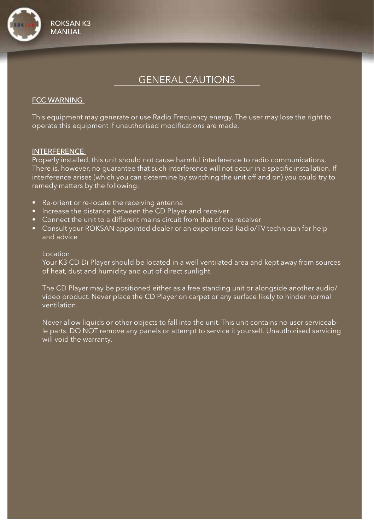

## GENERAL CAUTIONS

#### FCC WARNING

This equipment may generate or use Radio Frequency energy. The user may lose the right to operate this equipment if unauthorised modifications are made.

#### INTERFERENCE

Properly installed, this unit should not cause harmful interference to radio communications, There is, however, no guarantee that such interference will not occur in a specific installation. If interference arises (which you can determine by switching the unit off and on) you could try to remedy matters by the following:

- Re-orient or re-locate the receiving antenna
- Increase the distance between the CD Player and receiver
- Connect the unit to a different mains circuit from that of the receiver
- Consult your ROKSAN appointed dealer or an experienced Radio/TV technician for help and advice

#### Location

Your K3 CD Di Player should be located in a well ventilated area and kept away from sources of heat, dust and humidity and out of direct sunlight.

The CD Player may be positioned either as a free standing unit or alongside another audio/ video product. Never place the CD Player on carpet or any surface likely to hinder normal ventilation.

Never allow liquids or other objects to fall into the unit. This unit contains no user serviceable parts. DO NOT remove any panels or attempt to service it yourself. Unauthorised servicing will void the warranty.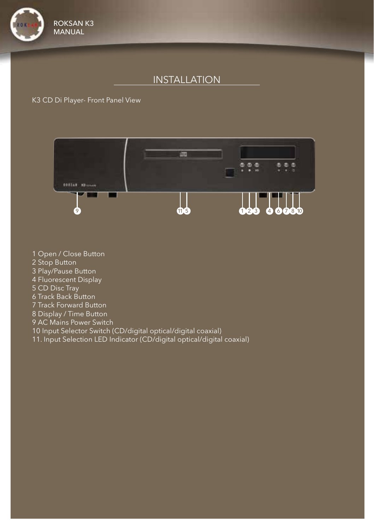

# INSTALLATION

### K3 CD Di Player- Front Panel View

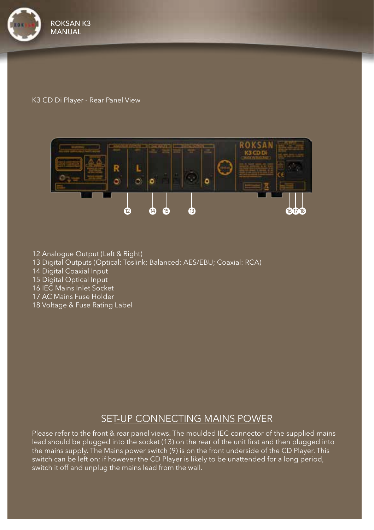

#### K3 CD Di Player - Rear Panel View



- 12 Analogue Output (Left & Right)
- 13 Digital Outputs (Optical: Toslink; Balanced: AES/EBU; Coaxial: RCA)
- 14 Digital Coaxial Input
- 15 Digital Optical Input
- 16 IEC Mains Inlet Socket
- 17 AC Mains Fuse Holder
- 18 Voltage & Fuse Rating Label

## SET-UP CONNECTING MAINS POWER

Please refer to the front & rear panel views. The moulded IEC connector of the supplied mains lead should be plugged into the socket (13) on the rear of the unit first and then plugged into the mains supply. The Mains power switch (9) is on the front underside of the CD Player. This switch can be left on; if however the CD Player is likely to be unattended for a long period, switch it off and unplug the mains lead from the wall.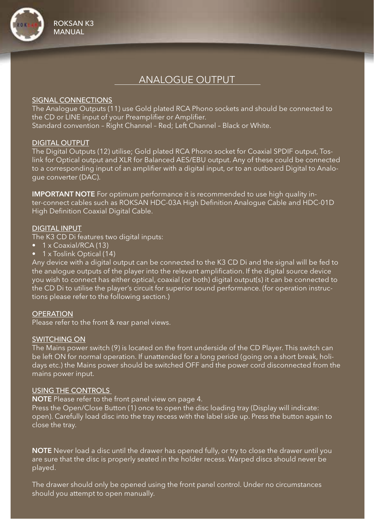

## ANALOGUE OUTPUT

#### SIGNAL CONNECTIONS

The Analogue Outputs (11) use Gold plated RCA Phono sockets and should be connected to the CD or LINE input of your Preamplifier or Amplifier. Standard convention – Right Channel – Red; Left Channel – Black or White.

#### DIGITAL OUTPUT

The Digital Outputs (12) utilise; Gold plated RCA Phono socket for Coaxial SPDIF output, Toslink for Optical output and XLR for Balanced AES/EBU output. Any of these could be connected to a corresponding input of an amplifier with a digital input, or to an outboard Digital to Analogue converter (DAC).

IMPORTANT NOTE For optimum performance it is recommended to use high quality inter-connect cables such as ROKSAN HDC-03A High Definition Analogue Cable and HDC-01D High Definition Coaxial Digital Cable.

#### DIGITAL INPUT

The K3 CD Di features two digital inputs:

- 1 x Coaxial/RCA (13)
- 1 x Toslink Optical (14)

Any device with a digital output can be connected to the K3 CD Di and the signal will be fed to the analogue outputs of the player into the relevant amplification. If the digital source device you wish to connect has either optical, coaxial (or both) digital output(s) it can be connected to the CD Di to utilise the player's circuit for superior sound performance. (for operation instructions please refer to the following section.)

#### **OPERATION**

Please refer to the front & rear panel views.

#### SWITCHING ON

The Mains power switch (9) is located on the front underside of the CD Player. This switch can be left ON for normal operation. If unattended for a long period (going on a short break, holidays etc.) the Mains power should be switched OFF and the power cord disconnected from the mains power input.

#### USING THE CONTROLS

NOTE Please refer to the front panel view on page 4.

Press the Open/Close Button (1) once to open the disc loading tray (Display will indicate: open). Carefully load disc into the tray recess with the label side up. Press the button again to close the tray.

NOTE Never load a disc until the drawer has opened fully, or try to close the drawer until you are sure that the disc is properly seated in the holder recess. Warped discs should never be played.

The drawer should only be opened using the front panel control. Under no circumstances should you attempt to open manually.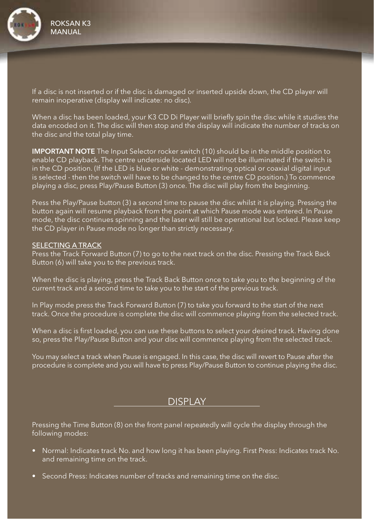

If a disc is not inserted or if the disc is damaged or inserted upside down, the CD player will remain inoperative (display will indicate: no disc).

When a disc has been loaded, your K3 CD Di Player will briefly spin the disc while it studies the data encoded on it. The disc will then stop and the display will indicate the number of tracks on the disc and the total play time.

IMPORTANT NOTE The Input Selector rocker switch (10) should be in the middle position to enable CD playback. The centre underside located LED will not be illuminated if the switch is in the CD position. (If the LED is blue or white - demonstrating optical or coaxial digital input is selected - then the switch will have to be changed to the centre CD position.) To commence playing a disc, press Play/Pause Button (3) once. The disc will play from the beginning.

Press the Play/Pause button (3) a second time to pause the disc whilst it is playing. Pressing the button again will resume playback from the point at which Pause mode was entered. In Pause mode, the disc continues spinning and the laser will still be operational but locked. Please keep the CD player in Pause mode no longer than strictly necessary.

#### SELECTING A TRACK

Press the Track Forward Button (7) to go to the next track on the disc. Pressing the Track Back Button (6) will take you to the previous track.

When the disc is playing, press the Track Back Button once to take you to the beginning of the current track and a second time to take you to the start of the previous track.

In Play mode press the Track Forward Button (7) to take you forward to the start of the next track. Once the procedure is complete the disc will commence playing from the selected track.

When a disc is first loaded, you can use these buttons to select your desired track. Having done so, press the Play/Pause Button and your disc will commence playing from the selected track.

You may select a track when Pause is engaged. In this case, the disc will revert to Pause after the procedure is complete and you will have to press Play/Pause Button to continue playing the disc.

## **DISPLAY**

Pressing the Time Button (8) on the front panel repeatedly will cycle the display through the following modes:

- Normal: Indicates track No. and how long it has been playing. First Press: Indicates track No. and remaining time on the track.
- Second Press: Indicates number of tracks and remaining time on the disc.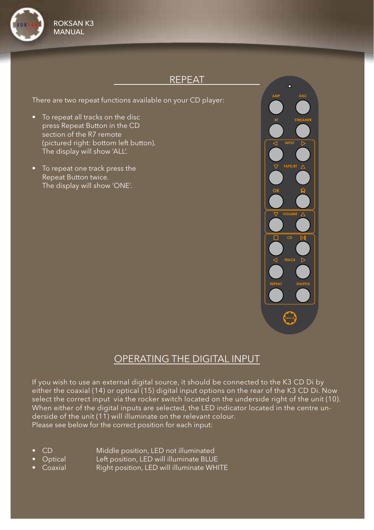

## REPEAT

There are two repeat functions available on your CD player:

- To repeat all tracks on the disc press Repeat Button in the CD section of the R7 remote (pictured right: bottom left button). The display will show 'ALL'.
- To repeat one track press the Repeat Button twice. The display will show 'ONE'.



## OPERATING THE DIGITAL INPUT

If you wish to use an external digital source, it should be connected to the K3 CD Di by either the coaxial (14) or optical (15) digital input options on the rear of the K3 CD Di. Now select the correct input via the rocker switch located on the underside right of the unit (10). When either of the digital inputs are selected, the LED indicator located in the centre underside of the unit (11) will illuminate on the relevant colour. Please see below for the correct position for each input:

- 
- CD Middle position, LED not illuminated
	- Optical Left position, LED will illuminate BLUE
- Coaxial **Right position, LED will illuminate WHITE**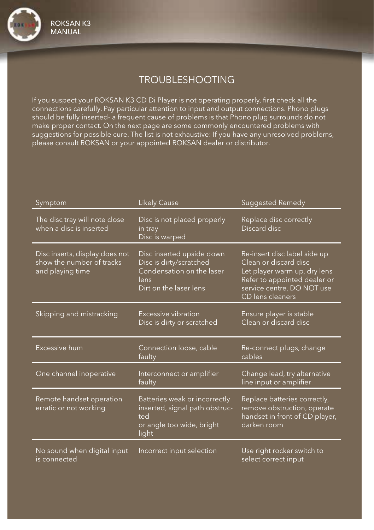# TROUBLESHOOTING

If you suspect your ROKSAN K3 CD Di Player is not operating properly, first check all the connections carefully. Pay particular attention to input and output connections. Phono plugs should be fully inserted- a frequent cause of problems is that Phono plug surrounds do not make proper contact. On the next page are some commonly encountered problems with suggestions for possible cure. The list is not exhaustive: If you have any unresolved problems, please consult ROKSAN or your appointed ROKSAN dealer or distributor.

| Symptom                                                                         | <b>Likely Cause</b>                                                                                                 | Suggested Remedy                                                                                                                                                        |
|---------------------------------------------------------------------------------|---------------------------------------------------------------------------------------------------------------------|-------------------------------------------------------------------------------------------------------------------------------------------------------------------------|
| The disc tray will note close<br>when a disc is inserted                        | Disc is not placed properly<br>in tray<br>Disc is warped                                                            | Replace disc correctly<br>Discard disc                                                                                                                                  |
| Disc inserts, display does not<br>show the number of tracks<br>and playing time | Disc inserted upside down<br>Disc is dirty/scratched<br>Condensation on the laser<br>lens<br>Dirt on the laser lens | Re-insert disc label side up<br>Clean or discard disc<br>Let player warm up, dry lens<br>Refer to appointed dealer or<br>service centre, DO NOT use<br>CD lens cleaners |
| Skipping and mistracking                                                        | Excessive vibration<br>Disc is dirty or scratched                                                                   | Ensure player is stable<br>Clean or discard disc                                                                                                                        |
| Excessive hum                                                                   | Connection loose, cable<br>faulty                                                                                   | Re-connect plugs, change<br>cables                                                                                                                                      |
| One channel inoperative                                                         | Interconnect or amplifier<br>faulty                                                                                 | Change lead, try alternative<br>line input or amplifier                                                                                                                 |
| Remote handset operation<br>erratic or not working                              | Batteries weak or incorrectly<br>inserted, signal path obstruc-<br>ted<br>or angle too wide, bright<br>light        | Replace batteries correctly,<br>remove obstruction, operate<br>handset in front of CD player,<br>darken room                                                            |
| No sound when digital input<br>is connected                                     | Incorrect input selection                                                                                           | Use right rocker switch to<br>select correct input                                                                                                                      |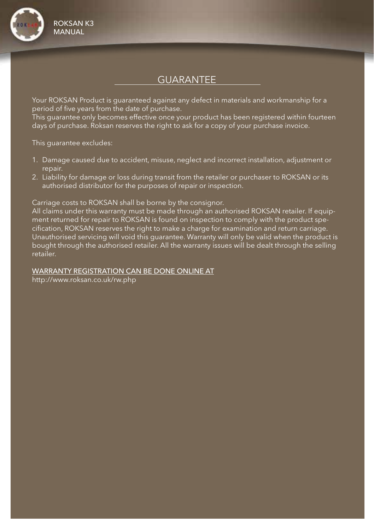

## GUARANTEE

Your ROKSAN Product is guaranteed against any defect in materials and workmanship for a period of five years from the date of purchase.

This guarantee only becomes effective once your product has been registered within fourteen days of purchase. Roksan reserves the right to ask for a copy of your purchase invoice.

This guarantee excludes:

- 1. Damage caused due to accident, misuse, neglect and incorrect installation, adjustment or repair.
- 2. Liability for damage or loss during transit from the retailer or purchaser to ROKSAN or its authorised distributor for the purposes of repair or inspection.

Carriage costs to ROKSAN shall be borne by the consignor.

All claims under this warranty must be made through an authorised ROKSAN retailer. If equipment returned for repair to ROKSAN is found on inspection to comply with the product specification, ROKSAN reserves the right to make a charge for examination and return carriage. Unauthorised servicing will void this guarantee. Warranty will only be valid when the product is bought through the authorised retailer. All the warranty issues will be dealt through the selling retailer.

### WARRANTY REGISTRATION CAN BE DONE ONLINE AT

http://www.roksan.co.uk/rw.php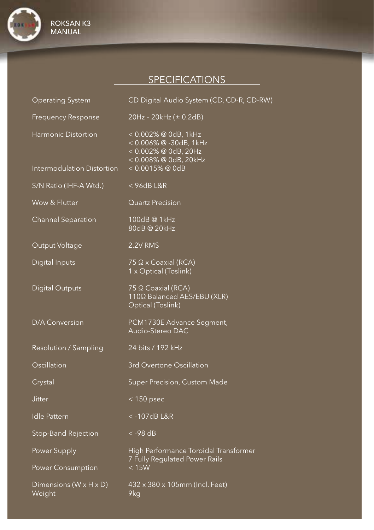

# **SPECIFICATIONS**

| <b>Operating System</b>                           | CD Digital Audio System (CD, CD-R, CD-RW)                                                                             |
|---------------------------------------------------|-----------------------------------------------------------------------------------------------------------------------|
| <b>Frequency Response</b>                         | 20Hz - 20kHz (± 0.2dB)                                                                                                |
| Harmonic Distortion<br>Intermodulation Distortion | < 0.002% @ 0dB, 1kHz<br>< 0.006% @ -30dB, 1kHz<br>< 0.002% @ 0dB, 20Hz<br>< 0.008% @ 0dB, 20kHz<br>$< 0.0015\%$ @ 0dB |
| S/N Ratio (IHF-A Wtd.)                            | $<$ 96dB L&R                                                                                                          |
| Wow & Flutter                                     | <b>Quartz Precision</b>                                                                                               |
| <b>Channel Separation</b>                         | 100dB @ 1kHz<br>80dB @ 20kHz                                                                                          |
| Output Voltage                                    | 2.2V RMS                                                                                                              |
| Digital Inputs                                    | $75 \Omega \times$ Coaxial (RCA)<br>1 x Optical (Toslink)                                                             |
| <b>Digital Outputs</b>                            | 75 Ω Coaxial (RCA)<br>1100 Balanced AES/EBU (XLR)<br>Optical (Toslink)                                                |
| D/A Conversion                                    | PCM1730E Advance Segment,<br>Audio-Stereo DAC                                                                         |
| Resolution / Sampling                             | 24 bits / 192 kHz                                                                                                     |
| Oscillation                                       | 3rd Overtone Oscillation                                                                                              |
| Crystal                                           | Super Precision, Custom Made                                                                                          |
| <b>Jitter</b>                                     | $< 150$ psec                                                                                                          |
| <b>Idle Pattern</b>                               | <-107dBL&R                                                                                                            |
| Stop-Band Rejection                               | $<$ -98 dB                                                                                                            |
| Power Supply<br>Power Consumption                 | High Performance Toroidal Transformer<br>7 Fully Regulated Power Rails<br>< 15W                                       |
| Dimensions ( $W \times H \times D$ )<br>Weight    | 432 x 380 x 105mm (Incl. Feet)<br>9kg                                                                                 |